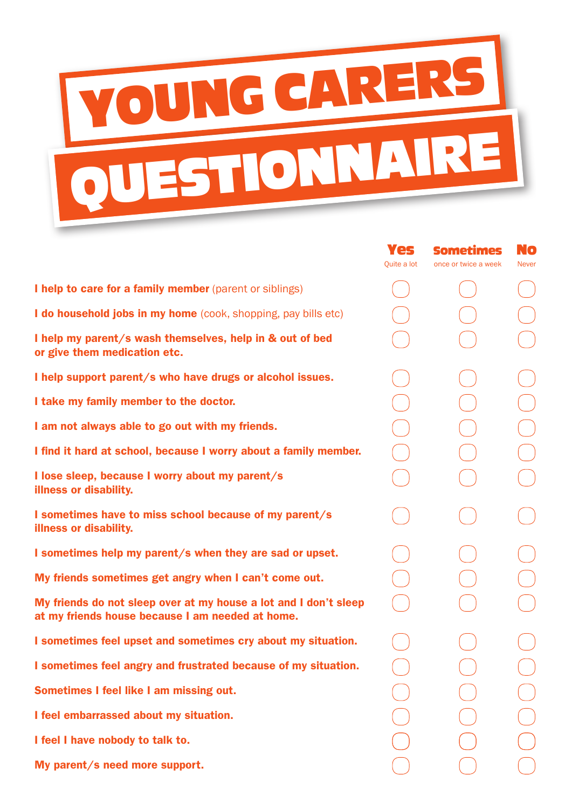

Yes

No

Sometimes

|                                                                                                                      | Quite a lot | once or twice a week | <b>Never</b> |
|----------------------------------------------------------------------------------------------------------------------|-------------|----------------------|--------------|
| I help to care for a family member (parent or siblings)                                                              |             |                      |              |
| I do household jobs in my home (cook, shopping, pay bills etc)                                                       |             |                      |              |
| I help my parent/s wash themselves, help in & out of bed<br>or give them medication etc.                             |             |                      |              |
| I help support parent/s who have drugs or alcohol issues.                                                            |             |                      |              |
| I take my family member to the doctor.                                                                               |             |                      |              |
| I am not always able to go out with my friends.                                                                      |             |                      |              |
| I find it hard at school, because I worry about a family member.                                                     |             |                      |              |
| I lose sleep, because I worry about my parent/s<br><b>illness or disability.</b>                                     |             |                      |              |
| I sometimes have to miss school because of my parent/s<br><b>illness or disability.</b>                              |             |                      |              |
| I sometimes help my parent/s when they are sad or upset.                                                             |             |                      |              |
| My friends sometimes get angry when I can't come out.                                                                |             |                      |              |
| My friends do not sleep over at my house a lot and I don't sleep<br>at my friends house because I am needed at home. |             |                      |              |
| I sometimes feel upset and sometimes cry about my situation.                                                         |             |                      |              |
| I sometimes feel angry and frustrated because of my situation.                                                       |             |                      |              |
| Sometimes I feel like I am missing out.                                                                              |             |                      |              |
| I feel embarrassed about my situation.                                                                               |             |                      |              |
| I feel I have nobody to talk to.                                                                                     |             |                      |              |
| My parent/s need more support.                                                                                       |             |                      |              |